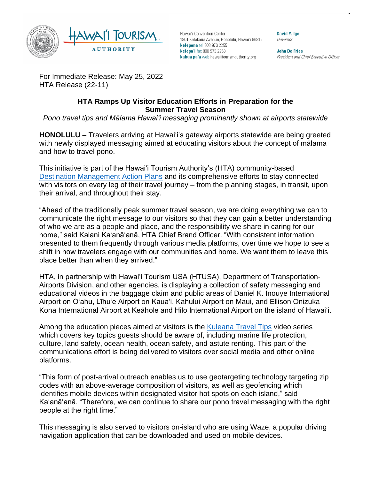

Hawai'i Convention Center 1801 Kalākaua Avenue, Honolulu, Hawai'i 96815 kelepona tel 808 973 2255 kelepa'i fax 808 973 2253 kahua pa'a web hawaiitourismauthority.org

David Y. Ige Governor

**John De Fries** President and Chief Executive Officer

For Immediate Release: May 25, 2022 HTA Release (22-11)

## **HTA Ramps Up Visitor Education Efforts in Preparation for the Summer Travel Season**

*Pono travel tips and Mālama Hawai'i messaging prominently shown at airports statewide*

**HONOLULU** *–* Travelers arriving at Hawai'i's gateway airports statewide are being greeted with newly displayed messaging aimed at educating visitors about the concept of mālama and how to travel pono.

This initiative is part of the Hawai'i Tourism Authority's (HTA) community-based [Destination Management Action Plans](https://www.hawaiitourismauthority.org/what-we-do/hta-programs/destination-management-action-plans/) and its comprehensive efforts to stay connected with visitors on every leg of their travel journey – from the planning stages, in transit, upon their arrival, and throughout their stay.

"Ahead of the traditionally peak summer travel season, we are doing everything we can to communicate the right message to our visitors so that they can gain a better understanding of who we are as a people and place, and the responsibility we share in caring for our home," said Kalani Ka'anā'anā, HTA Chief Brand Officer. "With consistent information presented to them frequently through various media platforms, over time we hope to see a shift in how travelers engage with our communities and home. We want them to leave this place better than when they arrived."

HTA, in partnership with Hawai'i Tourism USA (HTUSA), Department of Transportation-Airports Division, and other agencies, is displaying a collection of safety messaging and educational videos in the baggage claim and public areas of Daniel K. Inouye International Airport on O'ahu, Līhu'e Airport on Kaua'i, Kahului Airport on Maui, and Ellison Onizuka Kona International Airport at Keāhole and Hilo International Airport on the island of Hawai'i.

Among the education pieces aimed at visitors is the [Kuleana Travel Tips](https://www.youtube.com/playlist?list=PL3vu-S1EiKs8r5vpXLRWtmv7oSCEocP5h) video series which covers key topics guests should be aware of, including marine life protection, culture, land safety, ocean health, ocean safety, and astute renting. This part of the communications effort is being delivered to visitors over social media and other online platforms.

"This form of post-arrival outreach enables us to use geotargeting technology targeting zip codes with an above-average composition of visitors, as well as geofencing which identifies mobile devices within designated visitor hot spots on each island," said Ka'anā'anā. "Therefore, we can continue to share our pono travel messaging with the right people at the right time."

This messaging is also served to visitors on-island who are using Waze, a popular driving navigation application that can be downloaded and used on mobile devices.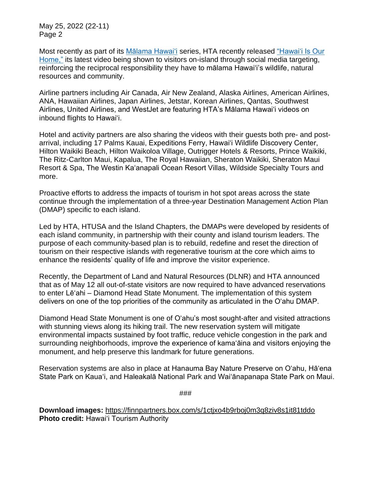May 25, 2022 (22-11) Page 2

Most recently as part of its Malama Hawai'i series, HTA recently released "Hawai'i Is Our [Home,"](https://www.youtube.com/watch?v=MFBGibUw9KA) its latest video being shown to visitors on-island through social media targeting, reinforcing the reciprocal responsibility they have to mālama Hawai'i's wildlife, natural resources and community.

Airline partners including Air Canada, Air New Zealand, Alaska Airlines, American Airlines, ANA, Hawaiian Airlines, Japan Airlines, Jetstar, Korean Airlines, Qantas, Southwest Airlines, United Airlines, and WestJet are featuring HTA's Mālama Hawai'i videos on inbound flights to Hawai'i.

Hotel and activity partners are also sharing the videos with their guests both pre- and postarrival, including 17 Palms Kauai, Expeditions Ferry, Hawai'i Wildlife Discovery Center, Hilton Waikiki Beach, Hilton Waikoloa Village, Outrigger Hotels & Resorts, Prince Waikiki, The Ritz-Carlton Maui, Kapalua, The Royal Hawaiian, Sheraton Waikiki, Sheraton Maui Resort & Spa, The Westin Ka'anapali Ocean Resort Villas, Wildside Specialty Tours and more.

Proactive efforts to address the impacts of tourism in hot spot areas across the state continue through the implementation of a three-year Destination Management Action Plan (DMAP) specific to each island.

Led by HTA, HTUSA and the Island Chapters, the DMAPs were developed by residents of each island community, in partnership with their county and island tourism leaders. The purpose of each community-based plan is to rebuild, redefine and reset the direction of tourism on their respective islands with regenerative tourism at the core which aims to enhance the residents' quality of life and improve the visitor experience.

Recently, the Department of Land and Natural Resources (DLNR) and HTA announced that as of May 12 all out-of-state visitors are now required to have advanced reservations to enter Lē'ahi – Diamond Head State Monument. The implementation of this system delivers on one of the top priorities of the community as articulated in the Oʻahu DMAP.

Diamond Head State Monument is one of Oʻahu's most sought-after and visited attractions with stunning views along its hiking trail. The new reservation system will mitigate environmental impacts sustained by foot traffic, reduce vehicle congestion in the park and surrounding neighborhoods, improve the experience of kamaʻāina and visitors enjoying the monument, and help preserve this landmark for future generations.

Reservation systems are also in place at Hanauma Bay Nature Preserve on O'ahu, Hā'ena State Park on Kaua'i, and Haleakalā National Park and Wai'ānapanapa State Park on Maui.

###

**Download images:** <https://finnpartners.box.com/s/1ctjxo4b9rboj0m3q8ziv8s1it81tddo> **Photo credit:** Hawai'i Tourism Authority